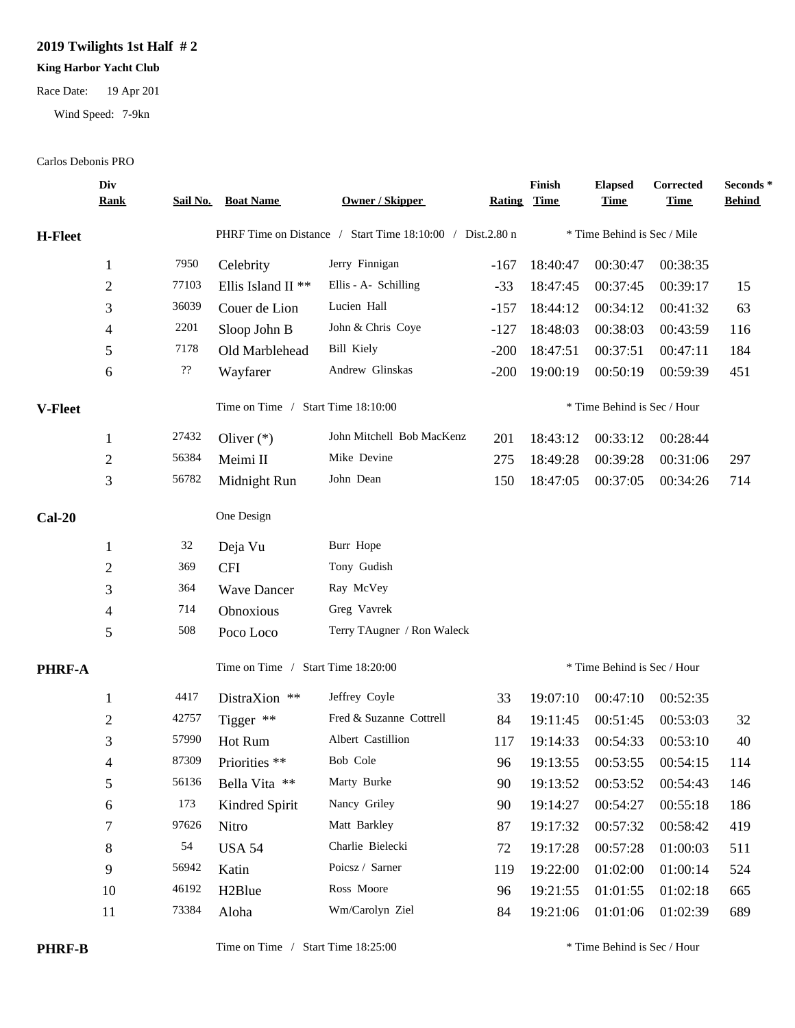## **2019 Twilights 1st Half # 2**

## **King Harbor Yacht Club**

Race Date: 19 Apr 201

Wind Speed: 7-9kn

## Carlos Debonis PRO

|                | Div<br><u>Rank</u> |                                       | Sail No. Boat Name            | <b>Owner / Skipper</b>                                    | <b>Rating</b> | Finish<br><b>Time</b>       | <b>Elapsed</b><br><u>Time</u> | Corrected<br><b>Time</b> | Seconds*<br><b>Behind</b> |  |
|----------------|--------------------|---------------------------------------|-------------------------------|-----------------------------------------------------------|---------------|-----------------------------|-------------------------------|--------------------------|---------------------------|--|
| <b>H-Fleet</b> |                    |                                       |                               | PHRF Time on Distance / Start Time 18:10:00 / Dist.2.80 n |               |                             | * Time Behind is Sec / Mile   |                          |                           |  |
|                | $\mathbf{1}$       | 7950                                  | Celebrity                     | Jerry Finnigan                                            | $-167$        | 18:40:47                    | 00:30:47                      | 00:38:35                 |                           |  |
|                | $\mathbf{2}$       | 77103                                 | Ellis Island II <sup>**</sup> | Ellis - A- Schilling                                      | $-33$         | 18:47:45                    | 00:37:45                      | 00:39:17                 | 15                        |  |
|                | 3                  | 36039                                 | Couer de Lion                 | Lucien Hall                                               | $-157$        | 18:44:12                    | 00:34:12                      | 00:41:32                 | 63                        |  |
|                | 4                  | 2201                                  | Sloop John B                  | John & Chris Coye                                         | $-127$        | 18:48:03                    | 00:38:03                      | 00:43:59                 | 116                       |  |
|                | 5                  | 7178                                  | Old Marblehead                | <b>Bill Kiely</b>                                         | $-200$        | 18:47:51                    | 00:37:51                      | 00:47:11                 | 184                       |  |
|                | 6                  | $\boldsymbol ?\boldsymbol ?$          | Wayfarer                      | Andrew Glinskas                                           | $-200$        | 19:00:19                    | 00:50:19                      | 00:59:39                 | 451                       |  |
| V-Fleet        |                    | Time on Time /<br>Start Time 18:10:00 |                               |                                                           |               | * Time Behind is Sec / Hour |                               |                          |                           |  |
|                | 1                  | 27432                                 | Oliver $(*)$                  | John Mitchell Bob MacKenz                                 | 201           | 18:43:12                    | 00:33:12                      | 00:28:44                 |                           |  |
|                | $\mathbf{2}$       | 56384                                 | Meimi II                      | Mike Devine                                               | 275           | 18:49:28                    | 00:39:28                      | 00:31:06                 | 297                       |  |
|                | 3                  | 56782                                 | Midnight Run                  | John Dean                                                 | 150           | 18:47:05                    | 00:37:05                      | 00:34:26                 | 714                       |  |
| $Cal-20$       |                    |                                       | One Design                    |                                                           |               |                             |                               |                          |                           |  |
|                | 1                  | 32                                    | Deja Vu                       | Burr Hope                                                 |               |                             |                               |                          |                           |  |
|                | $\mathbf{2}$       | 369                                   | <b>CFI</b>                    | Tony Gudish                                               |               |                             |                               |                          |                           |  |
|                | 3                  | 364                                   | <b>Wave Dancer</b>            | Ray McVey                                                 |               |                             |                               |                          |                           |  |
|                | 4                  | 714                                   | Obnoxious                     | Greg Vavrek                                               |               |                             |                               |                          |                           |  |
|                | 5                  | 508                                   | Poco Loco                     | Terry TAugner / Ron Waleck                                |               |                             |                               |                          |                           |  |
| <b>PHRF-A</b>  |                    | Time on Time / Start Time 18:20:00    |                               |                                                           |               | * Time Behind is Sec / Hour |                               |                          |                           |  |
|                | 1                  | 4417                                  | DistraXion **                 | Jeffrey Coyle                                             | 33            | 19:07:10                    | 00:47:10                      | 00:52:35                 |                           |  |
|                | $\overline{c}$     | 42757                                 | Tigger **                     | Fred & Suzanne Cottrell                                   | 84            | 19:11:45                    | 00:51:45                      | 00:53:03                 | 32                        |  |
|                | 3                  | 57990                                 | Hot Rum                       | Albert Castillion                                         | 117           | 19:14:33                    | 00:54:33                      | 00:53:10                 | 40                        |  |
|                | 4                  | 87309                                 | Priorities **                 | Bob Cole                                                  | 96            | 19:13:55                    | 00:53:55                      | 00:54:15                 | 114                       |  |
|                | 5                  | 56136                                 | Bella Vita **                 | Marty Burke                                               | 90            | 19:13:52                    | 00:53:52                      | 00:54:43                 | 146                       |  |
|                | 6                  | 173                                   | Kindred Spirit                | Nancy Griley                                              | 90            | 19:14:27                    | 00:54:27                      | 00:55:18                 | 186                       |  |
|                | 7                  | 97626                                 | Nitro                         | Matt Barkley                                              | 87            | 19:17:32                    | 00:57:32                      | 00:58:42                 | 419                       |  |
|                | $8\,$              | 54                                    | <b>USA 54</b>                 | Charlie Bielecki                                          | 72            | 19:17:28                    | 00:57:28                      | 01:00:03                 | 511                       |  |
|                | 9                  | 56942                                 | Katin                         | Poicsz / Sarner                                           | 119           | 19:22:00                    | 01:02:00                      | 01:00:14                 | 524                       |  |
|                | 10                 | 46192                                 | H <sub>2</sub> Blue           | Ross Moore                                                | 96            | 19:21:55                    | 01:01:55                      | 01:02:18                 | 665                       |  |
|                | 11                 | 73384                                 | Aloha                         | Wm/Carolyn Ziel                                           | 84            | 19:21:06                    | 01:01:06                      | 01:02:39                 | 689                       |  |
|                |                    |                                       |                               |                                                           |               |                             |                               |                          |                           |  |